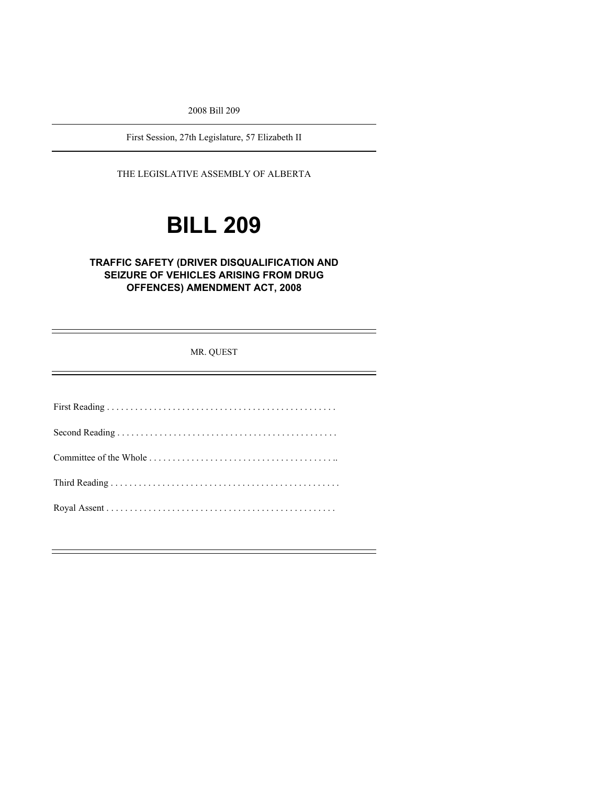2008 Bill 209

First Session, 27th Legislature, 57 Elizabeth II

THE LEGISLATIVE ASSEMBLY OF ALBERTA

# **BILL 209**

### **TRAFFIC SAFETY (DRIVER DISQUALIFICATION AND SEIZURE OF VEHICLES ARISING FROM DRUG OFFENCES) AMENDMENT ACT, 2008**

MR. QUEST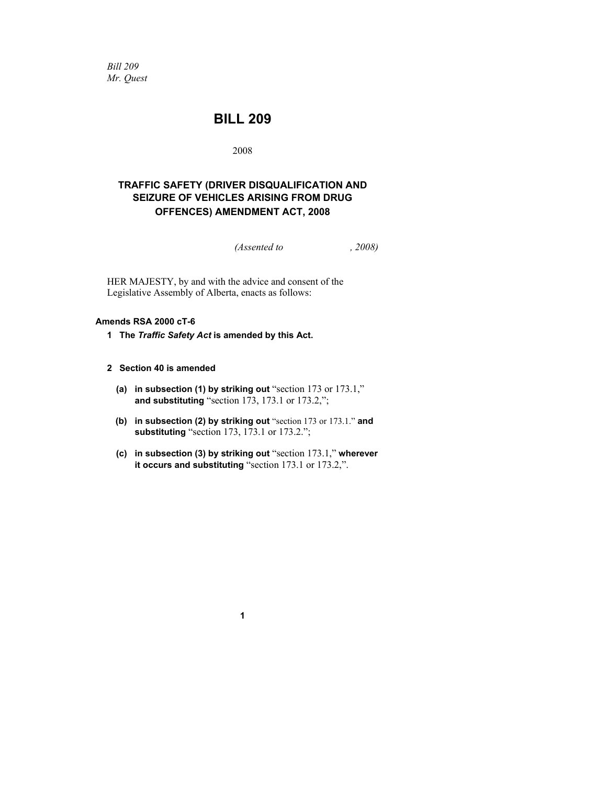*Bill 209 Mr. Quest* 

# **BILL 209**

2008

## **TRAFFIC SAFETY (DRIVER DISQUALIFICATION AND SEIZURE OF VEHICLES ARISING FROM DRUG OFFENCES) AMENDMENT ACT, 2008**

*(Assented to , 2008)* 

HER MAJESTY, by and with the advice and consent of the Legislative Assembly of Alberta, enacts as follows:

#### **Amends RSA 2000 cT-6**

**1 The** *Traffic Safety Act* **is amended by this Act.** 

#### **2 Section 40 is amended**

- **(a) in subsection (1) by striking out** "section 173 or 173.1," **and substituting** "section 173, 173.1 or 173.2,";
- **(b) in subsection (2) by striking out** "section 173 or 173.1." **and substituting** "section 173, 173.1 or 173.2.";
- **(c) in subsection (3) by striking out** "section 173.1," **wherever it occurs and substituting** "section 173.1 or 173.2,".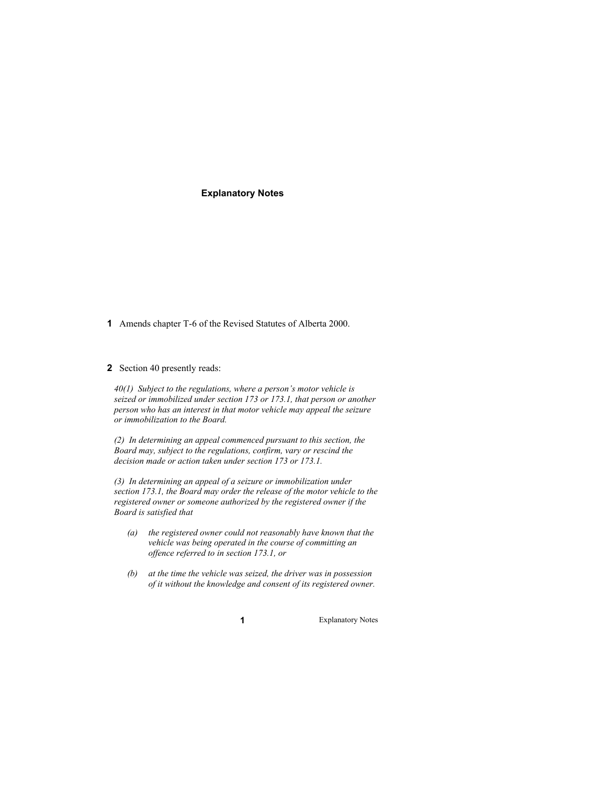#### **Explanatory Notes**

**1** Amends chapter T-6 of the Revised Statutes of Alberta 2000.

#### **2** Section 40 presently reads:

*40(1) Subject to the regulations, where a person's motor vehicle is seized or immobilized under section 173 or 173.1, that person or another person who has an interest in that motor vehicle may appeal the seizure or immobilization to the Board.* 

*(2) In determining an appeal commenced pursuant to this section, the Board may, subject to the regulations, confirm, vary or rescind the decision made or action taken under section 173 or 173.1.* 

*(3) In determining an appeal of a seizure or immobilization under section 173.1, the Board may order the release of the motor vehicle to the registered owner or someone authorized by the registered owner if the Board is satisfied that* 

- *(a) the registered owner could not reasonably have known that the vehicle was being operated in the course of committing an offence referred to in section 173.1, or*
- *(b) at the time the vehicle was seized, the driver was in possession of it without the knowledge and consent of its registered owner.*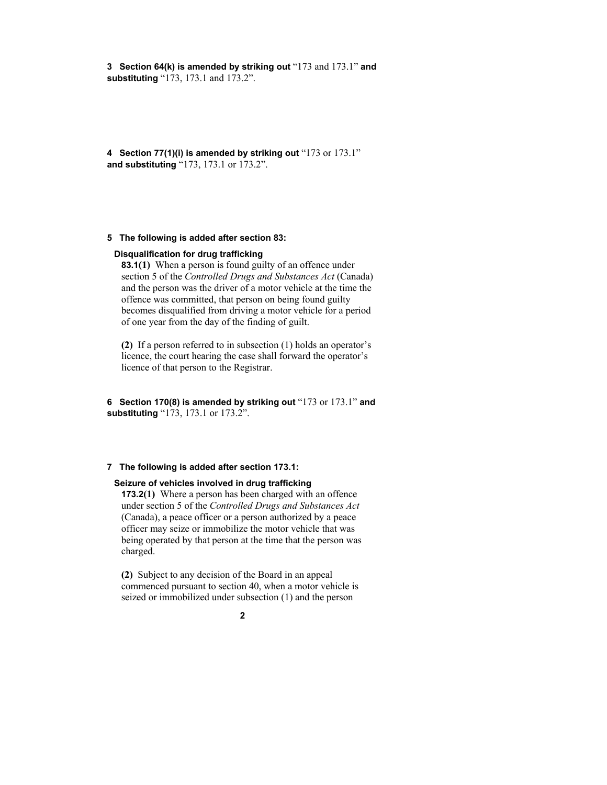**3 Section 64(k) is amended by striking out** "173 and 173.1" **and substituting** "173, 173.1 and 173.2".

**4 Section 77(1)(i) is amended by striking out** "173 or 173.1" **and substituting** "173, 173.1 or 173.2".

#### **5 The following is added after section 83:**

#### **Disqualification for drug trafficking**

**83.1(1)** When a person is found guilty of an offence under section 5 of the *Controlled Drugs and Substances Act* (Canada) and the person was the driver of a motor vehicle at the time the offence was committed, that person on being found guilty becomes disqualified from driving a motor vehicle for a period of one year from the day of the finding of guilt.

**(2)** If a person referred to in subsection (1) holds an operator's licence, the court hearing the case shall forward the operator's licence of that person to the Registrar.

**6 Section 170(8) is amended by striking out** "173 or 173.1" **and substituting** "173, 173.1 or 173.2".

#### **7 The following is added after section 173.1:**

#### **Seizure of vehicles involved in drug trafficking**

**173.2(1)** Where a person has been charged with an offence under section 5 of the *Controlled Drugs and Substances Act* (Canada), a peace officer or a person authorized by a peace officer may seize or immobilize the motor vehicle that was being operated by that person at the time that the person was charged.

**(2)** Subject to any decision of the Board in an appeal commenced pursuant to section 40, when a motor vehicle is seized or immobilized under subsection (1) and the person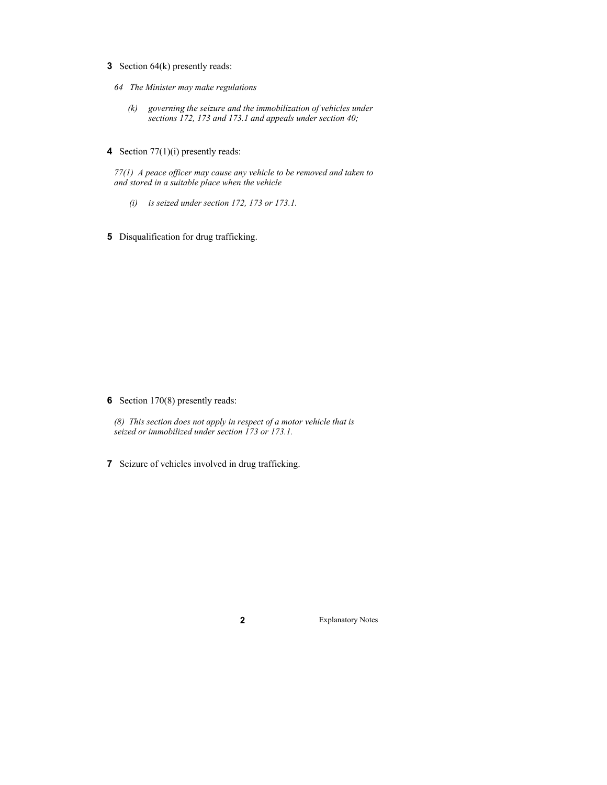- **3** Section 64(k) presently reads:
	- *64 The Minister may make regulations* 
		- *(k) governing the seizure and the immobilization of vehicles under sections 172, 173 and 173.1 and appeals under section 40;*
- **4** Section 77(1)(i) presently reads:

*77(1) A peace officer may cause any vehicle to be removed and taken to and stored in a suitable place when the vehicle* 

- *(i) is seized under section 172, 173 or 173.1.*
- **5** Disqualification for drug trafficking.

**6** Section 170(8) presently reads:

*(8) This section does not apply in respect of a motor vehicle that is seized or immobilized under section 173 or 173.1.* 

**7** Seizure of vehicles involved in drug trafficking.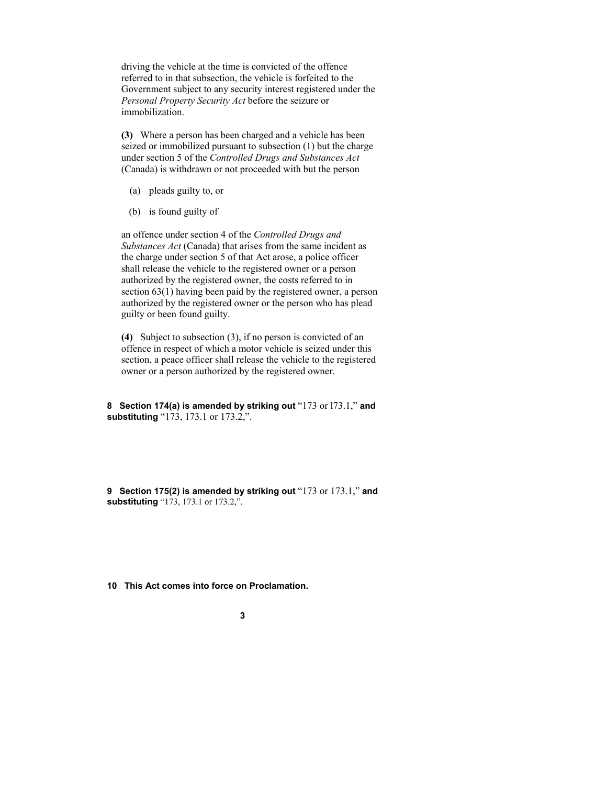driving the vehicle at the time is convicted of the offence referred to in that subsection, the vehicle is forfeited to the Government subject to any security interest registered under the *Personal Property Security Act* before the seizure or immobilization.

**(3)** Where a person has been charged and a vehicle has been seized or immobilized pursuant to subsection (1) but the charge under section 5 of the *Controlled Drugs and Substances Act* (Canada) is withdrawn or not proceeded with but the person

- (a) pleads guilty to, or
- (b) is found guilty of

an offence under section 4 of the *Controlled Drugs and Substances Act* (Canada) that arises from the same incident as the charge under section 5 of that Act arose, a police officer shall release the vehicle to the registered owner or a person authorized by the registered owner, the costs referred to in section 63(1) having been paid by the registered owner, a person authorized by the registered owner or the person who has plead guilty or been found guilty.

**(4)** Subject to subsection (3), if no person is convicted of an offence in respect of which a motor vehicle is seized under this section, a peace officer shall release the vehicle to the registered owner or a person authorized by the registered owner.

**8 Section 174(a) is amended by striking out** "173 or l73.1," **and substituting** "173, 173.1 or 173.2,".

**9 Section 175(2) is amended by striking out** "173 or 173.1," **and substituting** "173, 173.1 or 173.2,".

**10 This Act comes into force on Proclamation.**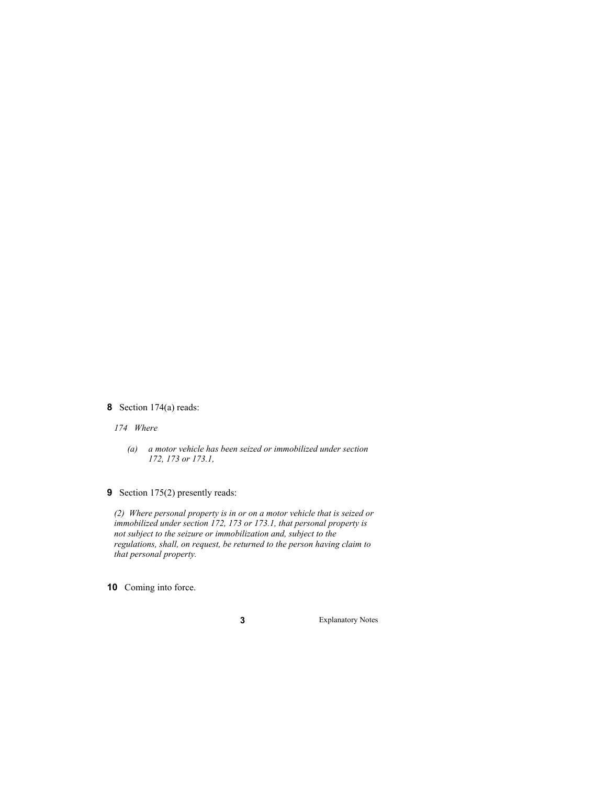**8** Section 174(a) reads:

*174 Where* 

- *(a) a motor vehicle has been seized or immobilized under section 172, 173 or 173.1,*
- **9** Section 175(2) presently reads:

*(2) Where personal property is in or on a motor vehicle that is seized or immobilized under section 172, 173 or 173.1, that personal property is not subject to the seizure or immobilization and, subject to the regulations, shall, on request, be returned to the person having claim to that personal property.* 

**10** Coming into force.